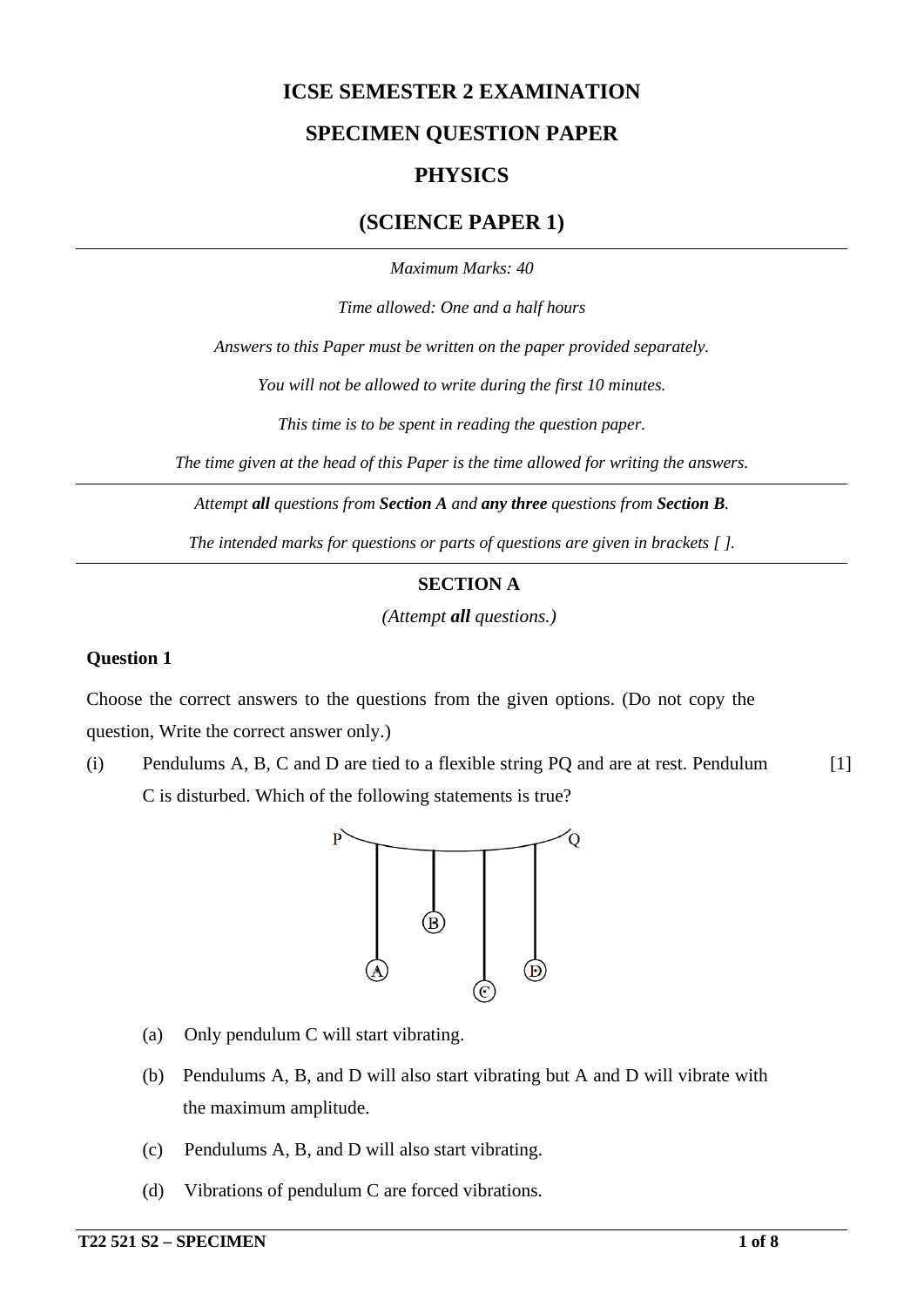# **ICSE SEMESTER 2 EXAMINATION**

## **SPECIMEN QUESTION PAPER**

## **PHYSICS**

### **(SCIENCE PAPER 1)**

*Maximum Marks: 40*

*Time allowed: One and a half hours*

*Answers to this Paper must be written on the paper provided separately.*

*You will not be allowed to write during the first 10 minutes.*

*This time is to be spent in reading the question paper.*

*The time given at the head of this Paper is the time allowed for writing the answers.*

*Attempt all questions from Section A and any three questions from Section B.*

*The intended marks for questions or parts of questions are given in brackets [ ].*

#### **SECTION A**

*(Attempt all questions.)*

#### **Question 1**

Choose the correct answers to the questions from the given options. (Do not copy the question, Write the correct answer only.)

(i) Pendulums A, B, C and D are tied to a flexible string PQ and are at rest. Pendulum C is disturbed. Which of the following statements is true? [1]



- (a) Only pendulum C will start vibrating.
- (b) Pendulums A, B, and D will also start vibrating but A and D will vibrate with the maximum amplitude.
- (c) Pendulums A, B, and D will also start vibrating.
- (d) Vibrations of pendulum C are forced vibrations.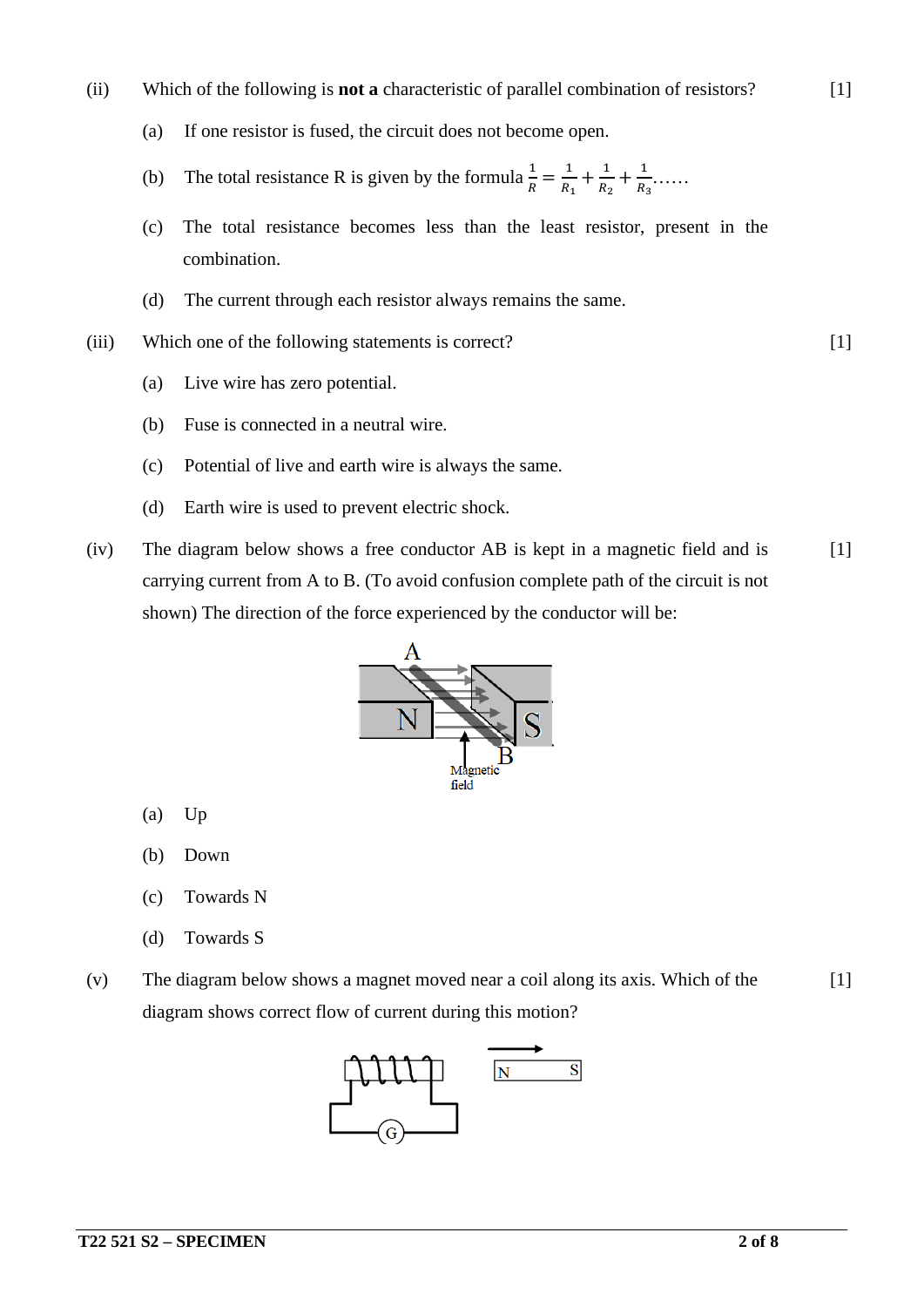- (ii) Which of the following is **not a** characteristic of parallel combination of resistors?
	- (a) If one resistor is fused, the circuit does not become open.
	- (b) The total resistance R is given by the formula  $\frac{1}{R} = \frac{1}{R_1} + \frac{1}{R_2} + \frac{1}{R_3}$ ……
	- (c) The total resistance becomes less than the least resistor, present in the combination.
	- (d) The current through each resistor always remains the same.
- (iii) Which one of the following statements is correct?
	- (a) Live wire has zero potential.
	- (b) Fuse is connected in a neutral wire.
	- (c) Potential of live and earth wire is always the same.
	- (d) Earth wire is used to prevent electric shock.
- (iv) The diagram below shows a free conductor AB is kept in a magnetic field and is carrying current from A to B. (To avoid confusion complete path of the circuit is not shown) The direction of the force experienced by the conductor will be:  $[1]$



- (a) Up
- (b) Down
- (c) Towards N
- (d) Towards S
- (v) The diagram below shows a magnet moved near a coil along its axis. Which of the diagram shows correct flow of current during this motion? [1]



 $[1]$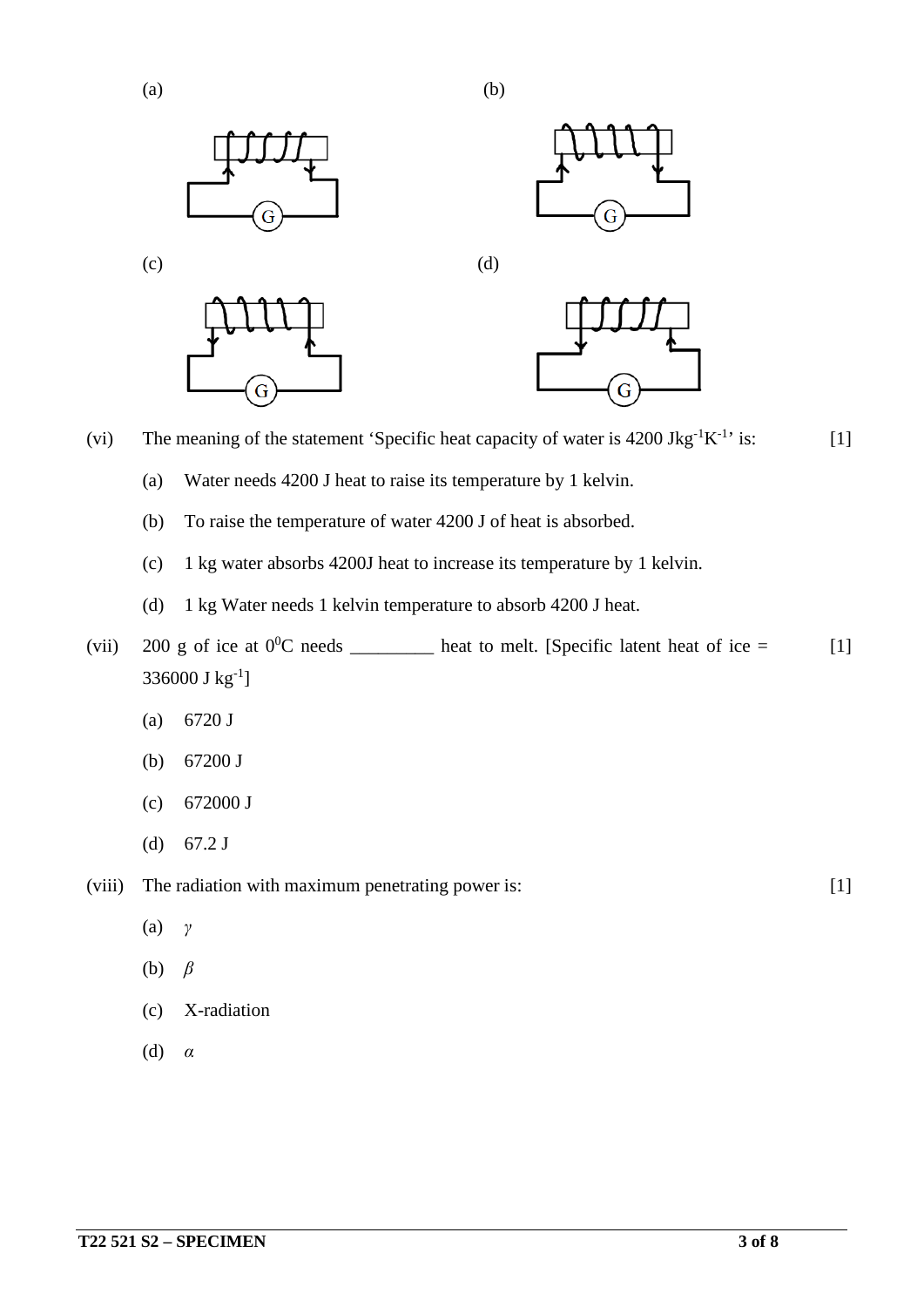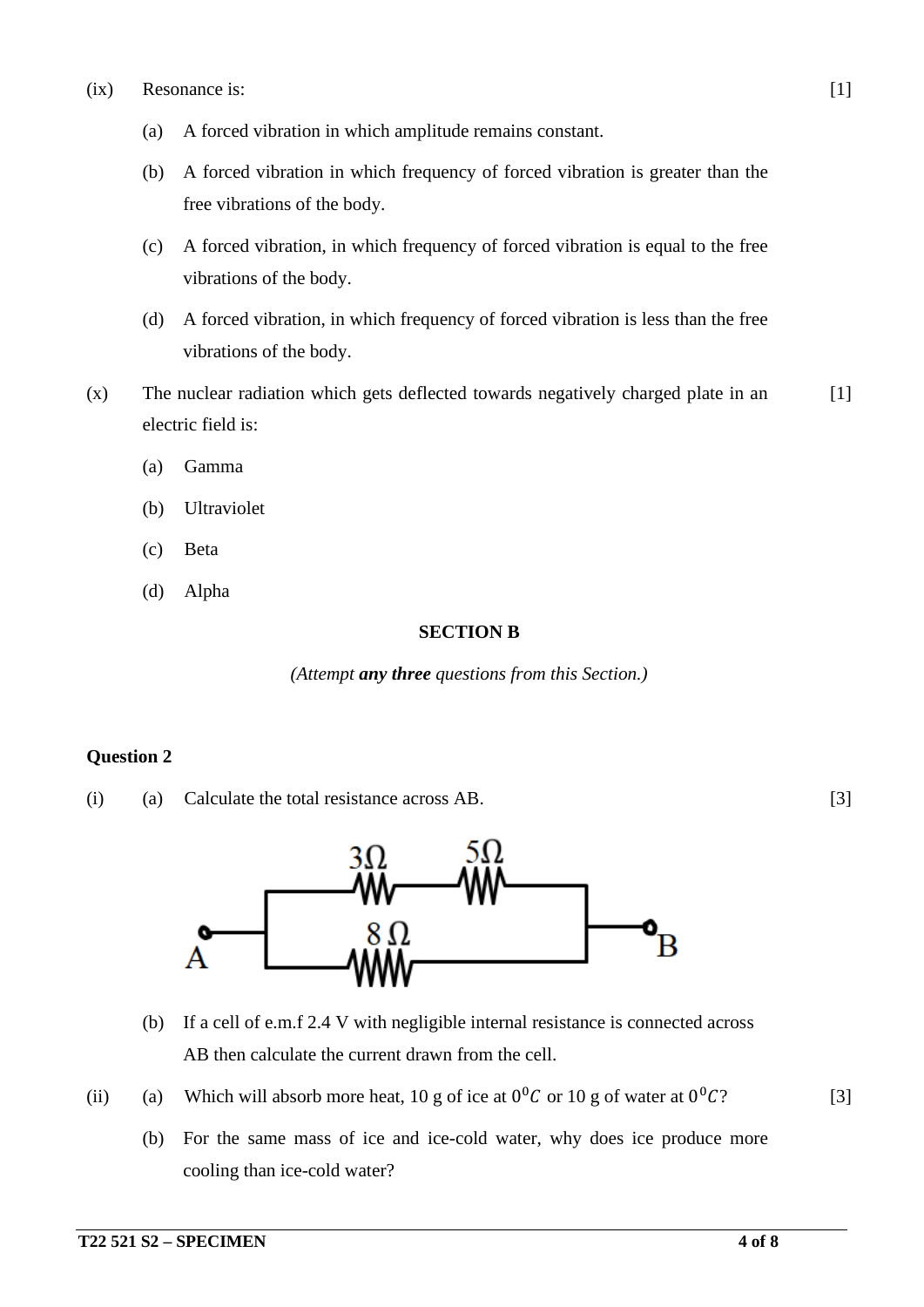- (a) A forced vibration in which amplitude remains constant.
- (b) A forced vibration in which frequency of forced vibration is greater than the free vibrations of the body.
- (c) A forced vibration, in which frequency of forced vibration is equal to the free vibrations of the body.
- (d) A forced vibration, in which frequency of forced vibration is less than the free vibrations of the body.
- (x) The nuclear radiation which gets deflected towards negatively charged plate in an electric field is:  $[1]$ 
	- (a) Gamma
	- (b) Ultraviolet
	- (c) Beta
	- (d) Alpha

#### **SECTION B**

*(Attempt any three questions from this Section.)*

#### **Question 2**

(i) (a) Calculate the total resistance across AB.



- (b) If a cell of e.m.f 2.4 V with negligible internal resistance is connected across AB then calculate the current drawn from the cell.
- (ii) (a) Which will absorb more heat, 10 g of ice at  $0^0C$  or 10 g of water at  $0^0C$ ?
	- (b) For the same mass of ice and ice-cold water, why does ice produce more cooling than ice-cold water?

[3]

[3]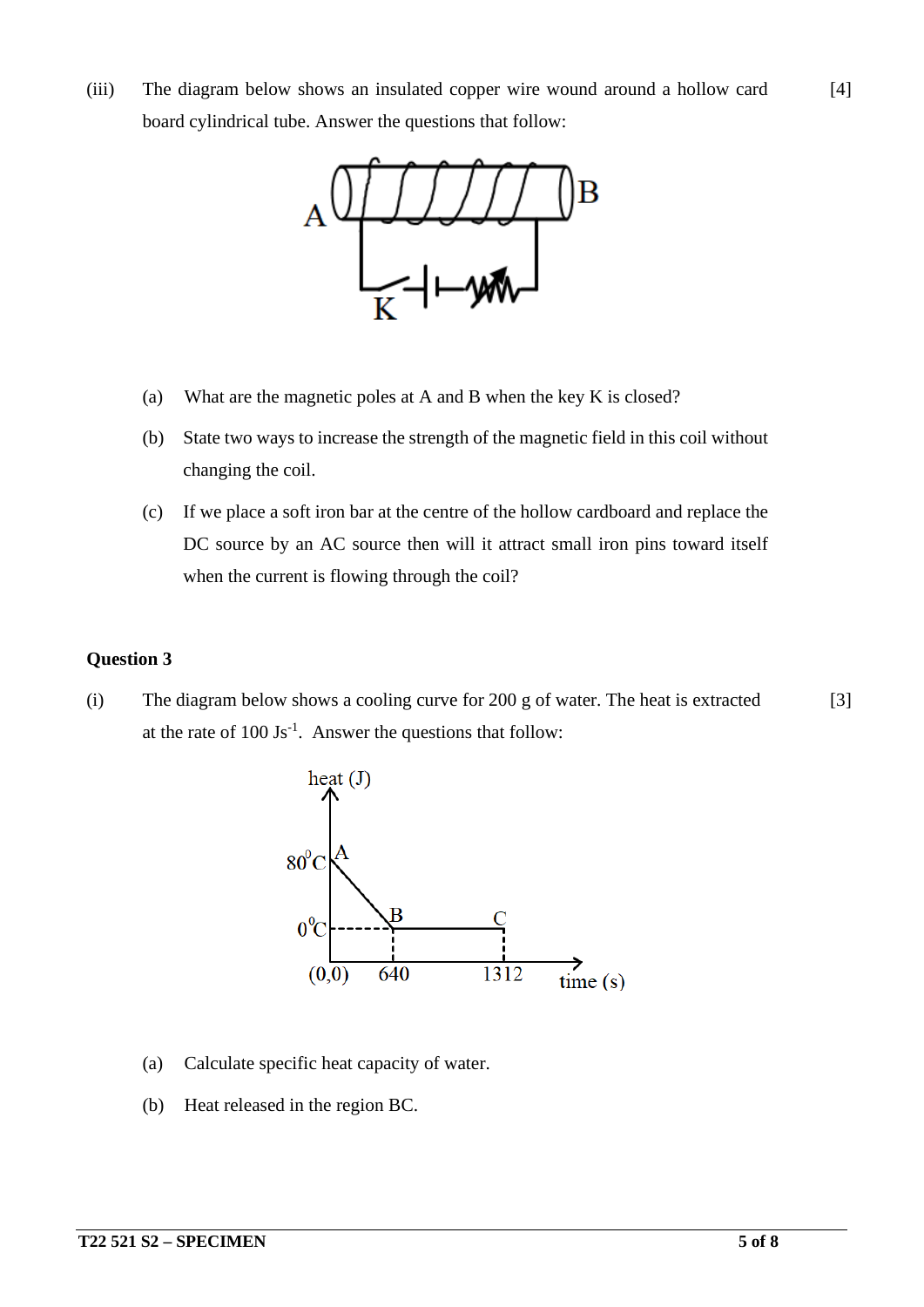(iii) The diagram below shows an insulated copper wire wound around a hollow card board cylindrical tube. Answer the questions that follow:



- (a) What are the magnetic poles at A and B when the key K is closed?
- (b) State two ways to increase the strength of the magnetic field in this coil without changing the coil.
- (c) If we place a soft iron bar at the centre of the hollow cardboard and replace the DC source by an AC source then will it attract small iron pins toward itself when the current is flowing through the coil?

#### **Question 3**

(i) The diagram below shows a cooling curve for 200 g of water. The heat is extracted at the rate of  $100 \text{ Js}^{-1}$ . Answer the questions that follow: [3]



- (a) Calculate specific heat capacity of water.
- (b) Heat released in the region BC.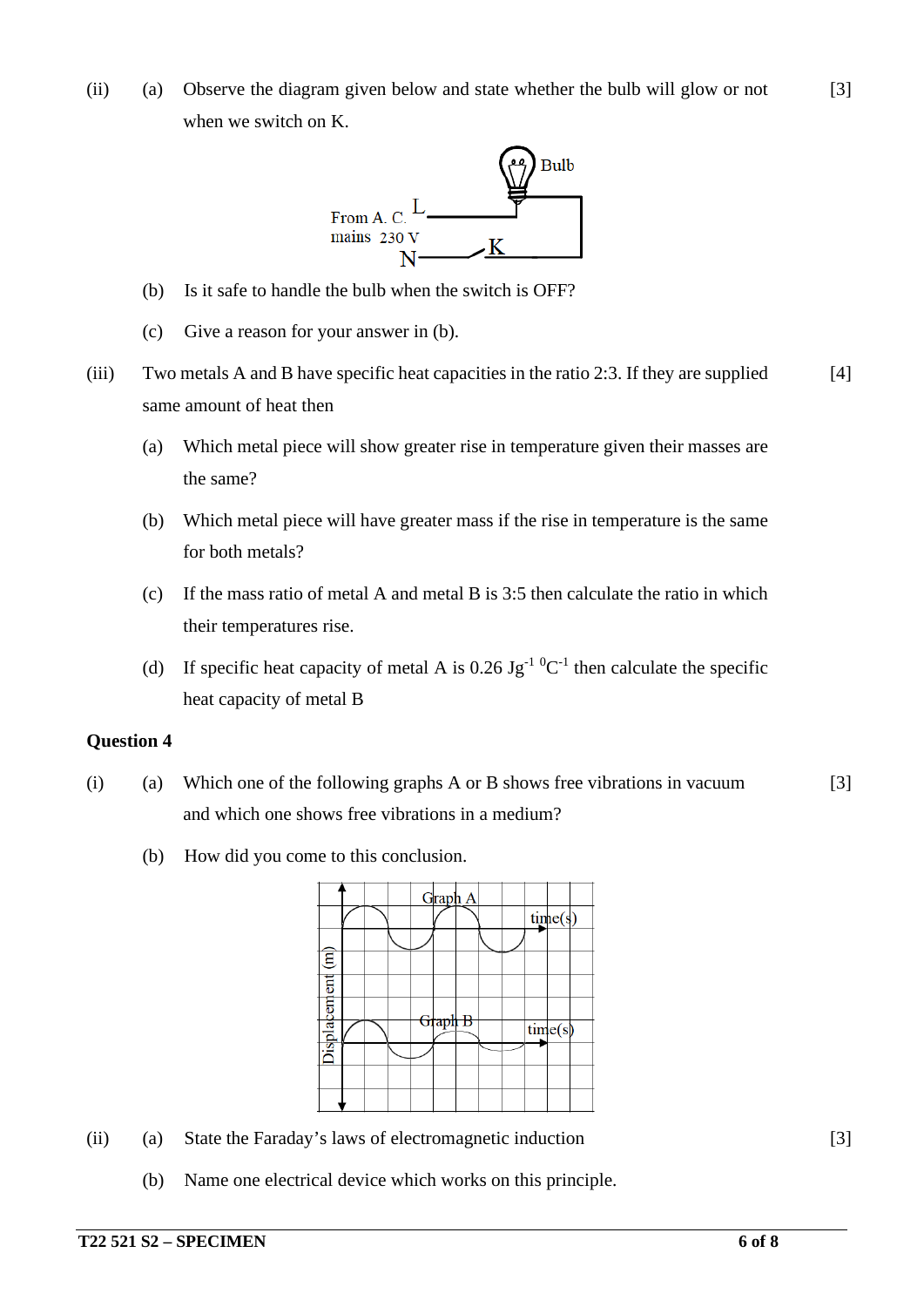(ii) (a) Observe the diagram given below and state whether the bulb will glow or not when we switch on K.



- (b) Is it safe to handle the bulb when the switch is OFF?
- (c) Give a reason for your answer in (b).
- (iii) Two metals A and B have specific heat capacities in the ratio 2:3. If they are supplied same amount of heat then [4]
	- (a) Which metal piece will show greater rise in temperature given their masses are the same?
	- (b) Which metal piece will have greater mass if the rise in temperature is the same for both metals?
	- (c) If the mass ratio of metal A and metal B is 3:5 then calculate the ratio in which their temperatures rise.
	- (d) If specific heat capacity of metal A is 0.26 Jg<sup>-1 0</sup>C<sup>-1</sup> then calculate the specific heat capacity of metal B

#### **Question 4**

- (i) (a) Which one of the following graphs A or B shows free vibrations in vacuum and which one shows free vibrations in a medium? [3]
	- (b) How did you come to this conclusion.



- (ii) (a) State the Faraday's laws of electromagnetic induction
	- (b) Name one electrical device which works on this principle.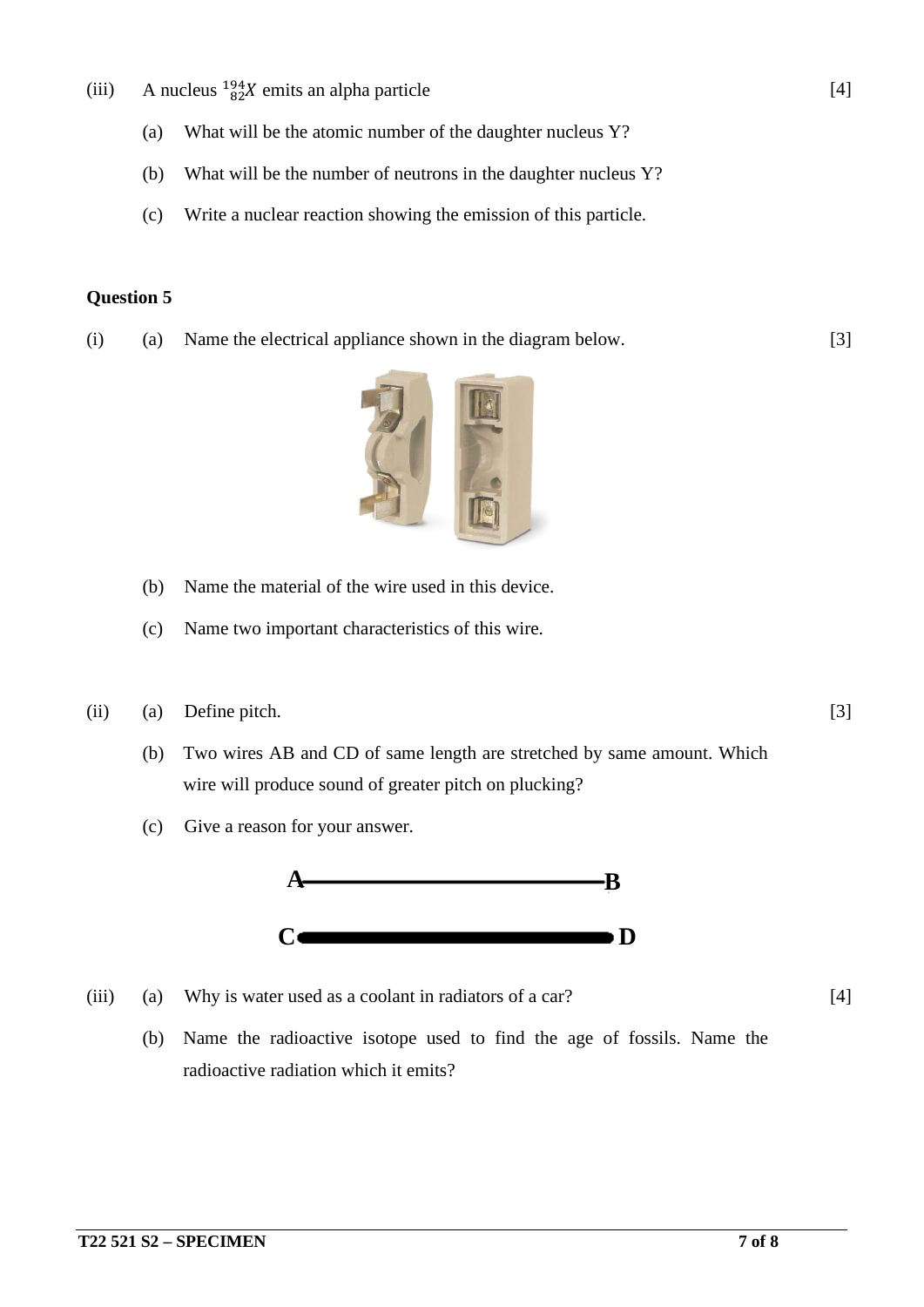- (iii) A nucleus  $\frac{194}{82}X$  emits an alpha particle
	- (a) What will be the atomic number of the daughter nucleus Y?
	- (b) What will be the number of neutrons in the daughter nucleus Y?
	- (c) Write a nuclear reaction showing the emission of this particle.

#### **Question 5**

(i) (a) Name the electrical appliance shown in the diagram below.



- (b) Name the material of the wire used in this device.
- (c) Name two important characteristics of this wire.
- (ii) (a) Define pitch.
	- (b) Two wires AB and CD of same length are stretched by same amount. Which wire will produce sound of greater pitch on plucking?
	- (c) Give a reason for your answer.



(iii) (a) Why is water used as a coolant in radiators of a car?

[4]

[3]

(b) Name the radioactive isotope used to find the age of fossils. Name the radioactive radiation which it emits?

[3]